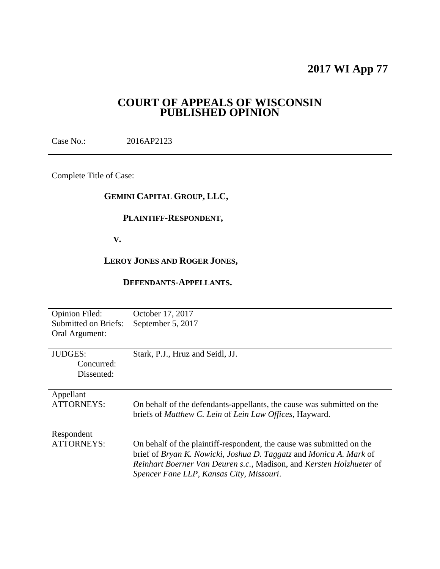# **2017 WI App 77**

# **COURT OF APPEALS OF WISCONSIN PUBLISHED OPINION**

Case No.: 2016AP2123

Complete Title of Case:

# **GEMINI CAPITAL GROUP, LLC,**

# **PLAINTIFF-RESPONDENT,**

 **V.**

# **LEROY JONES AND ROGER JONES,**

# **DEFENDANTS-APPELLANTS.**

| <b>Opinion Filed:</b><br><b>Submitted on Briefs:</b><br>Oral Argument: | October 17, 2017<br>September 5, 2017                                                                                                                                                                                                                           |
|------------------------------------------------------------------------|-----------------------------------------------------------------------------------------------------------------------------------------------------------------------------------------------------------------------------------------------------------------|
| <b>JUDGES:</b><br>Concurred:<br>Dissented:                             | Stark, P.J., Hruz and Seidl, JJ.                                                                                                                                                                                                                                |
| Appellant<br><b>ATTORNEYS:</b>                                         | On behalf of the defendants-appellants, the cause was submitted on the<br>briefs of Matthew C. Lein of Lein Law Offices, Hayward.                                                                                                                               |
| Respondent<br><b>ATTORNEYS:</b>                                        | On behalf of the plaintiff-respondent, the cause was submitted on the<br>brief of Bryan K. Nowicki, Joshua D. Taggatz and Monica A. Mark of<br>Reinhart Boerner Van Deuren s.c., Madison, and Kersten Holzhueter of<br>Spencer Fane LLP, Kansas City, Missouri. |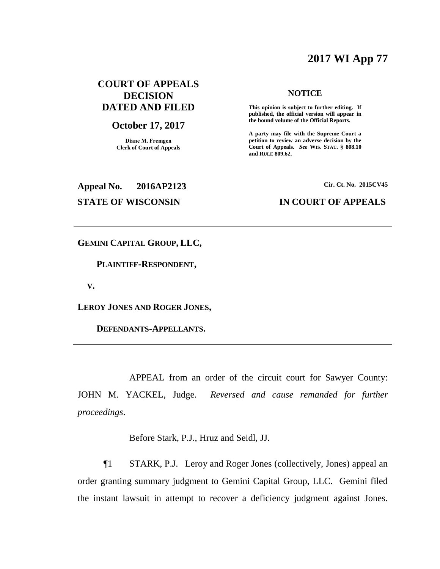# **2017 WI App 77**

# **COURT OF APPEALS DECISION DATED AND FILED**

# **October 17, 2017**

**Diane M. Fremgen Clerk of Court of Appeals**

#### **NOTICE**

**This opinion is subject to further editing. If published, the official version will appear in the bound volume of the Official Reports.** 

**A party may file with the Supreme Court a petition to review an adverse decision by the Court of Appeals.** *See* **WIS. STAT. § 808.10 and RULE 809.62.** 

# **Appeal No. 2016AP2123 Cir. Ct. No. 2015CV45 STATE OF WISCONSIN IN COURT OF APPEALS**

**GEMINI CAPITAL GROUP, LLC,**

 **PLAINTIFF-RESPONDENT,**

 **V.**

**LEROY JONES AND ROGER JONES,**

 **DEFENDANTS-APPELLANTS.**

APPEAL from an order of the circuit court for Sawyer County: JOHN M. YACKEL, Judge. *Reversed and cause remanded for further proceedings*.

Before Stark, P.J., Hruz and Seidl, JJ.

¶1 STARK, P.J. Leroy and Roger Jones (collectively, Jones) appeal an order granting summary judgment to Gemini Capital Group, LLC. Gemini filed the instant lawsuit in attempt to recover a deficiency judgment against Jones.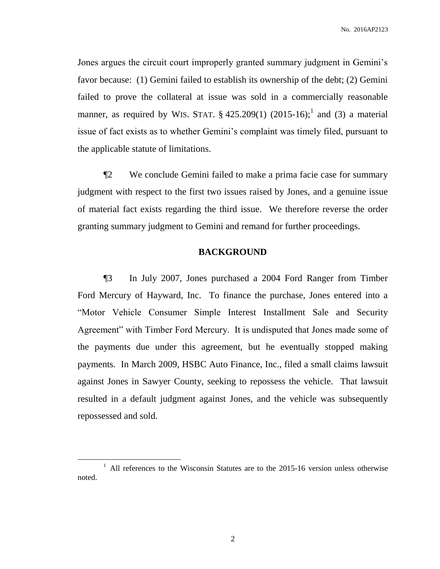Jones argues the circuit court improperly granted summary judgment in Gemini's favor because: (1) Gemini failed to establish its ownership of the debt; (2) Gemini failed to prove the collateral at issue was sold in a commercially reasonable manner, as required by WIS. STAT.  $\S$  425.209(1) (2015-16);<sup>1</sup> and (3) a material issue of fact exists as to whether Gemini's complaint was timely filed, pursuant to the applicable statute of limitations.

¶2 We conclude Gemini failed to make a prima facie case for summary judgment with respect to the first two issues raised by Jones, and a genuine issue of material fact exists regarding the third issue. We therefore reverse the order granting summary judgment to Gemini and remand for further proceedings.

### **BACKGROUND**

¶3 In July 2007, Jones purchased a 2004 Ford Ranger from Timber Ford Mercury of Hayward, Inc. To finance the purchase, Jones entered into a "Motor Vehicle Consumer Simple Interest Installment Sale and Security Agreement" with Timber Ford Mercury. It is undisputed that Jones made some of the payments due under this agreement, but he eventually stopped making payments. In March 2009, HSBC Auto Finance, Inc., filed a small claims lawsuit against Jones in Sawyer County, seeking to repossess the vehicle. That lawsuit resulted in a default judgment against Jones, and the vehicle was subsequently repossessed and sold.

 $1$  All references to the Wisconsin Statutes are to the 2015-16 version unless otherwise noted.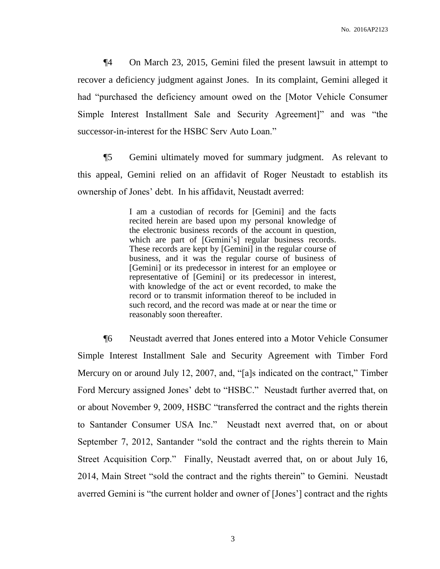¶4 On March 23, 2015, Gemini filed the present lawsuit in attempt to recover a deficiency judgment against Jones. In its complaint, Gemini alleged it had "purchased the deficiency amount owed on the [Motor Vehicle Consumer Simple Interest Installment Sale and Security Agreement]" and was "the successor-in-interest for the HSBC Serv Auto Loan."

¶5 Gemini ultimately moved for summary judgment. As relevant to this appeal, Gemini relied on an affidavit of Roger Neustadt to establish its ownership of Jones' debt. In his affidavit, Neustadt averred:

> I am a custodian of records for [Gemini] and the facts recited herein are based upon my personal knowledge of the electronic business records of the account in question, which are part of [Gemini's] regular business records. These records are kept by [Gemini] in the regular course of business, and it was the regular course of business of [Gemini] or its predecessor in interest for an employee or representative of [Gemini] or its predecessor in interest, with knowledge of the act or event recorded, to make the record or to transmit information thereof to be included in such record, and the record was made at or near the time or reasonably soon thereafter.

¶6 Neustadt averred that Jones entered into a Motor Vehicle Consumer Simple Interest Installment Sale and Security Agreement with Timber Ford Mercury on or around July 12, 2007, and, "[a]s indicated on the contract," Timber Ford Mercury assigned Jones' debt to "HSBC." Neustadt further averred that, on or about November 9, 2009, HSBC "transferred the contract and the rights therein to Santander Consumer USA Inc." Neustadt next averred that, on or about September 7, 2012, Santander "sold the contract and the rights therein to Main Street Acquisition Corp." Finally, Neustadt averred that, on or about July 16, 2014, Main Street "sold the contract and the rights therein" to Gemini. Neustadt averred Gemini is "the current holder and owner of [Jones'] contract and the rights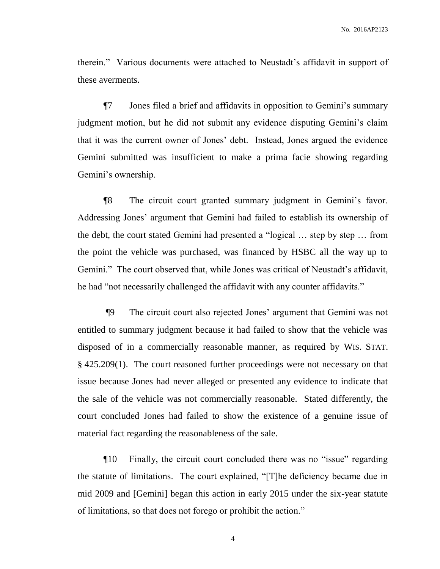therein." Various documents were attached to Neustadt's affidavit in support of these averments.

¶7 Jones filed a brief and affidavits in opposition to Gemini's summary judgment motion, but he did not submit any evidence disputing Gemini's claim that it was the current owner of Jones' debt. Instead, Jones argued the evidence Gemini submitted was insufficient to make a prima facie showing regarding Gemini's ownership.

¶8 The circuit court granted summary judgment in Gemini's favor. Addressing Jones' argument that Gemini had failed to establish its ownership of the debt, the court stated Gemini had presented a "logical … step by step … from the point the vehicle was purchased, was financed by HSBC all the way up to Gemini." The court observed that, while Jones was critical of Neustadt's affidavit, he had "not necessarily challenged the affidavit with any counter affidavits."

¶9 The circuit court also rejected Jones' argument that Gemini was not entitled to summary judgment because it had failed to show that the vehicle was disposed of in a commercially reasonable manner, as required by WIS. STAT. § 425.209(1). The court reasoned further proceedings were not necessary on that issue because Jones had never alleged or presented any evidence to indicate that the sale of the vehicle was not commercially reasonable. Stated differently, the court concluded Jones had failed to show the existence of a genuine issue of material fact regarding the reasonableness of the sale.

¶10 Finally, the circuit court concluded there was no "issue" regarding the statute of limitations. The court explained, "[T]he deficiency became due in mid 2009 and [Gemini] began this action in early 2015 under the six-year statute of limitations, so that does not forego or prohibit the action."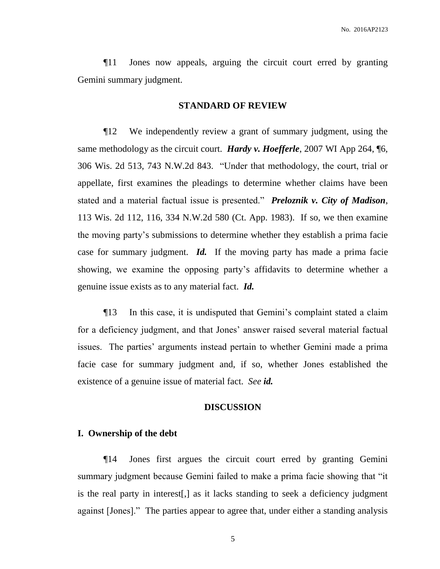¶11 Jones now appeals, arguing the circuit court erred by granting Gemini summary judgment.

#### **STANDARD OF REVIEW**

¶12 We independently review a grant of summary judgment, using the same methodology as the circuit court. *Hardy v. Hoefferle*, 2007 WI App 264, ¶6, 306 Wis. 2d 513, 743 N.W.2d 843. "Under that methodology, the court, trial or appellate, first examines the pleadings to determine whether claims have been stated and a material factual issue is presented." *Preloznik v. City of Madison*, 113 Wis. 2d 112, 116, 334 N.W.2d 580 (Ct. App. 1983). If so, we then examine the moving party's submissions to determine whether they establish a prima facie case for summary judgment. *Id.* If the moving party has made a prima facie showing, we examine the opposing party's affidavits to determine whether a genuine issue exists as to any material fact. *Id.*

¶13 In this case, it is undisputed that Gemini's complaint stated a claim for a deficiency judgment, and that Jones' answer raised several material factual issues. The parties' arguments instead pertain to whether Gemini made a prima facie case for summary judgment and, if so, whether Jones established the existence of a genuine issue of material fact. *See id.*

### **DISCUSSION**

#### **I. Ownership of the debt**

¶14 Jones first argues the circuit court erred by granting Gemini summary judgment because Gemini failed to make a prima facie showing that "it is the real party in interest[,] as it lacks standing to seek a deficiency judgment against [Jones]." The parties appear to agree that, under either a standing analysis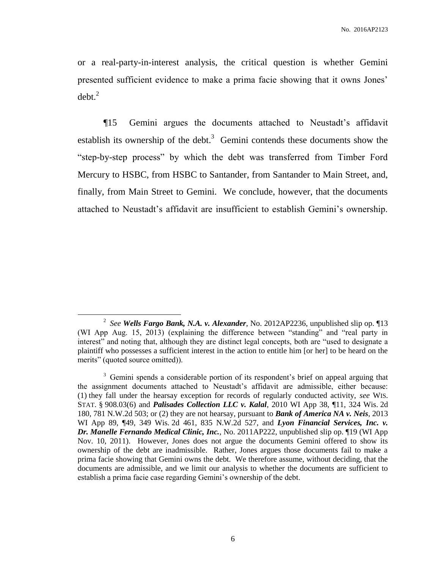or a real-party-in-interest analysis, the critical question is whether Gemini presented sufficient evidence to make a prima facie showing that it owns Jones'  $debt.<sup>2</sup>$ 

¶15 Gemini argues the documents attached to Neustadt's affidavit establish its ownership of the debt.<sup>3</sup> Gemini contends these documents show the "step-by-step process" by which the debt was transferred from Timber Ford Mercury to HSBC, from HSBC to Santander, from Santander to Main Street, and, finally, from Main Street to Gemini. We conclude, however, that the documents attached to Neustadt's affidavit are insufficient to establish Gemini's ownership.

<sup>2</sup> *See Wells Fargo Bank, N.A. v. Alexander*, No. 2012AP2236, unpublished slip op. ¶13 (WI App Aug. 15, 2013) (explaining the difference between "standing" and "real party in interest" and noting that, although they are distinct legal concepts, both are "used to designate a plaintiff who possesses a sufficient interest in the action to entitle him [or her] to be heard on the merits" (quoted source omitted)).

<sup>&</sup>lt;sup>3</sup> Gemini spends a considerable portion of its respondent's brief on appeal arguing that the assignment documents attached to Neustadt's affidavit are admissible, either because: (1) they fall under the hearsay exception for records of regularly conducted activity, *see* WIS. STAT. § 908.03(6) and *Palisades Collection LLC v. Kalal*, 2010 WI App 38, ¶11, 324 Wis. 2d 180, 781 N.W.2d 503; or (2) they are not hearsay, pursuant to *Bank of America NA v. Neis*, 2013 WI App 89, ¶49, 349 Wis. 2d 461, 835 N.W.2d 527, and *Lyon Financial Services, Inc. v. Dr. Manelle Fernando Medical Clinic, Inc.*, No. 2011AP222, unpublished slip op. ¶19 (WI App Nov. 10, 2011). However, Jones does not argue the documents Gemini offered to show its ownership of the debt are inadmissible. Rather, Jones argues those documents fail to make a prima facie showing that Gemini owns the debt. We therefore assume, without deciding, that the documents are admissible, and we limit our analysis to whether the documents are sufficient to establish a prima facie case regarding Gemini's ownership of the debt.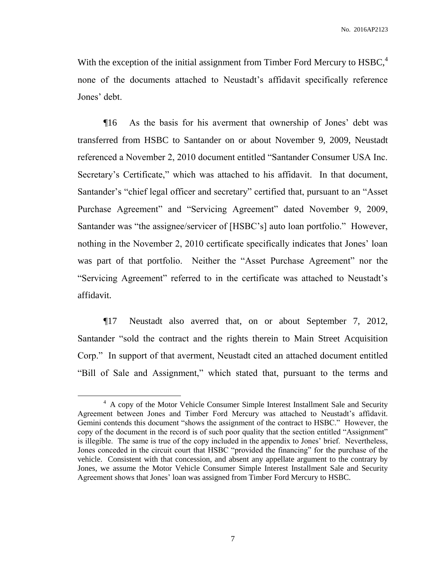With the exception of the initial assignment from Timber Ford Mercury to HSBC,<sup>4</sup> none of the documents attached to Neustadt's affidavit specifically reference Jones' debt.

¶16 As the basis for his averment that ownership of Jones' debt was transferred from HSBC to Santander on or about November 9, 2009, Neustadt referenced a November 2, 2010 document entitled "Santander Consumer USA Inc. Secretary's Certificate," which was attached to his affidavit. In that document, Santander's "chief legal officer and secretary" certified that, pursuant to an "Asset Purchase Agreement" and "Servicing Agreement" dated November 9, 2009, Santander was "the assignee/servicer of [HSBC's] auto loan portfolio." However, nothing in the November 2, 2010 certificate specifically indicates that Jones' loan was part of that portfolio. Neither the "Asset Purchase Agreement" nor the "Servicing Agreement" referred to in the certificate was attached to Neustadt's affidavit.

¶17 Neustadt also averred that, on or about September 7, 2012, Santander "sold the contract and the rights therein to Main Street Acquisition Corp." In support of that averment, Neustadt cited an attached document entitled "Bill of Sale and Assignment," which stated that, pursuant to the terms and

<sup>&</sup>lt;sup>4</sup> A copy of the Motor Vehicle Consumer Simple Interest Installment Sale and Security Agreement between Jones and Timber Ford Mercury was attached to Neustadt's affidavit. Gemini contends this document "shows the assignment of the contract to HSBC." However, the copy of the document in the record is of such poor quality that the section entitled "Assignment" is illegible. The same is true of the copy included in the appendix to Jones' brief. Nevertheless, Jones conceded in the circuit court that HSBC "provided the financing" for the purchase of the vehicle. Consistent with that concession, and absent any appellate argument to the contrary by Jones, we assume the Motor Vehicle Consumer Simple Interest Installment Sale and Security Agreement shows that Jones' loan was assigned from Timber Ford Mercury to HSBC.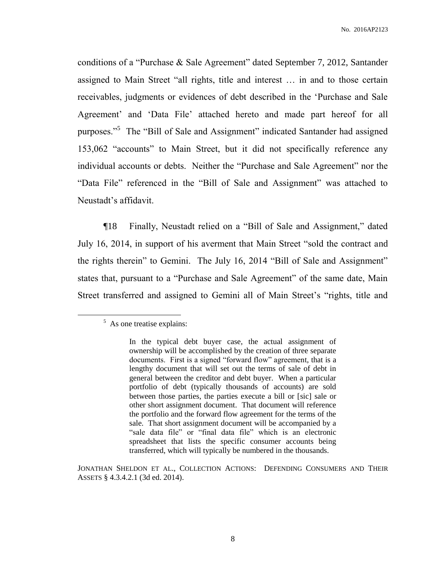conditions of a "Purchase & Sale Agreement" dated September 7, 2012, Santander assigned to Main Street "all rights, title and interest … in and to those certain receivables, judgments or evidences of debt described in the 'Purchase and Sale Agreement' and 'Data File' attached hereto and made part hereof for all purposes."<sup>5</sup> The "Bill of Sale and Assignment" indicated Santander had assigned 153,062 "accounts" to Main Street, but it did not specifically reference any individual accounts or debts. Neither the "Purchase and Sale Agreement" nor the "Data File" referenced in the "Bill of Sale and Assignment" was attached to Neustadt's affidavit.

¶18 Finally, Neustadt relied on a "Bill of Sale and Assignment," dated July 16, 2014, in support of his averment that Main Street "sold the contract and the rights therein" to Gemini. The July 16, 2014 "Bill of Sale and Assignment" states that, pursuant to a "Purchase and Sale Agreement" of the same date, Main Street transferred and assigned to Gemini all of Main Street's "rights, title and

<sup>&</sup>lt;sup>5</sup> As one treatise explains:

In the typical debt buyer case, the actual assignment of ownership will be accomplished by the creation of three separate documents. First is a signed "forward flow" agreement, that is a lengthy document that will set out the terms of sale of debt in general between the creditor and debt buyer. When a particular portfolio of debt (typically thousands of accounts) are sold between those parties, the parties execute a bill or [sic] sale or other short assignment document. That document will reference the portfolio and the forward flow agreement for the terms of the sale. That short assignment document will be accompanied by a "sale data file" or "final data file" which is an electronic spreadsheet that lists the specific consumer accounts being transferred, which will typically be numbered in the thousands.

JONATHAN SHELDON ET AL., COLLECTION ACTIONS: DEFENDING CONSUMERS AND THEIR ASSETS § 4.3.4.2.1 (3d ed. 2014).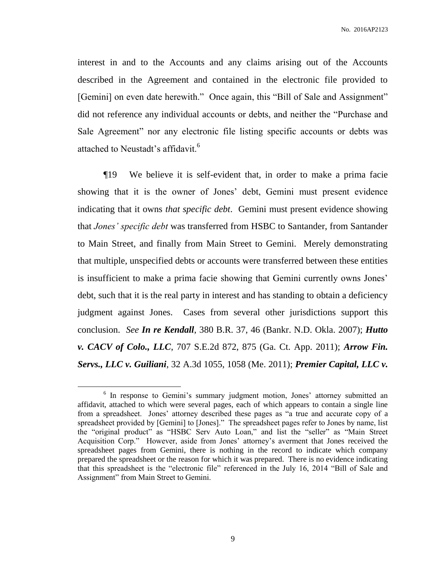interest in and to the Accounts and any claims arising out of the Accounts described in the Agreement and contained in the electronic file provided to [Gemini] on even date herewith." Once again, this "Bill of Sale and Assignment" did not reference any individual accounts or debts, and neither the "Purchase and Sale Agreement" nor any electronic file listing specific accounts or debts was attached to Neustadt's affidavit.<sup>6</sup>

¶19 We believe it is self-evident that, in order to make a prima facie showing that it is the owner of Jones' debt, Gemini must present evidence indicating that it owns *that specific debt*. Gemini must present evidence showing that *Jones' specific debt* was transferred from HSBC to Santander, from Santander to Main Street, and finally from Main Street to Gemini. Merely demonstrating that multiple, unspecified debts or accounts were transferred between these entities is insufficient to make a prima facie showing that Gemini currently owns Jones' debt, such that it is the real party in interest and has standing to obtain a deficiency judgment against Jones. Cases from several other jurisdictions support this conclusion. *See In re Kendall*, 380 B.R. 37, 46 (Bankr. N.D. Okla. 2007); *Hutto v. CACV of Colo., LLC*, 707 S.E.2d 872, 875 (Ga. Ct. App. 2011); *Arrow Fin. Servs., LLC v. Guiliani*, 32 A.3d 1055, 1058 (Me. 2011); *Premier Capital, LLC v.* 

 $\overline{a}$ 

<sup>&</sup>lt;sup>6</sup> In response to Gemini's summary judgment motion, Jones' attorney submitted an affidavit, attached to which were several pages, each of which appears to contain a single line from a spreadsheet. Jones' attorney described these pages as "a true and accurate copy of a spreadsheet provided by [Gemini] to [Jones]." The spreadsheet pages refer to Jones by name, list the "original product" as "HSBC Serv Auto Loan," and list the "seller" as "Main Street Acquisition Corp." However, aside from Jones' attorney's averment that Jones received the spreadsheet pages from Gemini, there is nothing in the record to indicate which company prepared the spreadsheet or the reason for which it was prepared. There is no evidence indicating that this spreadsheet is the "electronic file" referenced in the July 16, 2014 "Bill of Sale and Assignment" from Main Street to Gemini.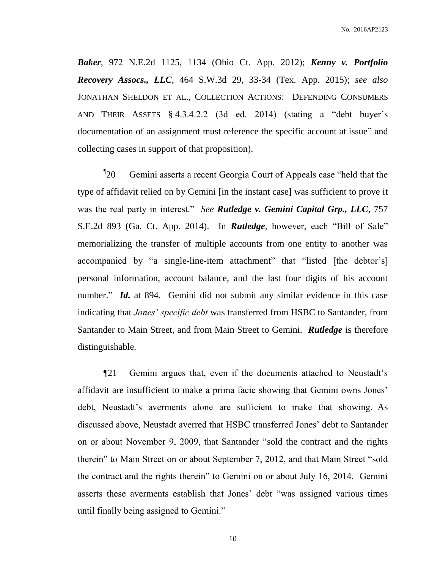*Baker*, 972 N.E.2d 1125, 1134 (Ohio Ct. App. 2012); *Kenny v. Portfolio Recovery Assocs., LLC*, 464 S.W.3d 29, 33-34 (Tex. App. 2015); *see also* JONATHAN SHELDON ET AL., COLLECTION ACTIONS: DEFENDING CONSUMERS AND THEIR ASSETS § 4.3.4.2.2 (3d ed. 2014) (stating a "debt buyer's documentation of an assignment must reference the specific account at issue" and collecting cases in support of that proposition).

 $\mathbb{I}_{20}$ 20 Gemini asserts a recent Georgia Court of Appeals case "held that the type of affidavit relied on by Gemini [in the instant case] was sufficient to prove it was the real party in interest." *See Rutledge v. Gemini Capital Grp., LLC*, 757 S.E.2d 893 (Ga. Ct. App. 2014). In *Rutledge*, however, each "Bill of Sale" memorializing the transfer of multiple accounts from one entity to another was accompanied by "a single-line-item attachment" that "listed [the debtor's] personal information, account balance, and the last four digits of his account number." *Id.* at 894. Gemini did not submit any similar evidence in this case indicating that *Jones' specific debt* was transferred from HSBC to Santander, from Santander to Main Street, and from Main Street to Gemini. *Rutledge* is therefore distinguishable.

¶21 Gemini argues that, even if the documents attached to Neustadt's affidavit are insufficient to make a prima facie showing that Gemini owns Jones' debt, Neustadt's averments alone are sufficient to make that showing. As discussed above, Neustadt averred that HSBC transferred Jones' debt to Santander on or about November 9, 2009, that Santander "sold the contract and the rights therein" to Main Street on or about September 7, 2012, and that Main Street "sold the contract and the rights therein" to Gemini on or about July 16, 2014. Gemini asserts these averments establish that Jones' debt "was assigned various times until finally being assigned to Gemini."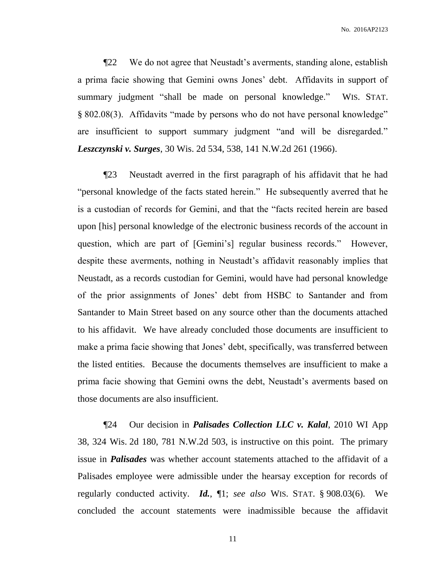¶22 We do not agree that Neustadt's averments, standing alone, establish a prima facie showing that Gemini owns Jones' debt. Affidavits in support of summary judgment "shall be made on personal knowledge." WIS. STAT. § 802.08(3). Affidavits "made by persons who do not have personal knowledge" are insufficient to support summary judgment "and will be disregarded." *Leszczynski v. Surges*, 30 Wis. 2d 534, 538, 141 N.W.2d 261 (1966).

¶23 Neustadt averred in the first paragraph of his affidavit that he had "personal knowledge of the facts stated herein." He subsequently averred that he is a custodian of records for Gemini, and that the "facts recited herein are based upon [his] personal knowledge of the electronic business records of the account in question, which are part of [Gemini's] regular business records." However, despite these averments, nothing in Neustadt's affidavit reasonably implies that Neustadt, as a records custodian for Gemini, would have had personal knowledge of the prior assignments of Jones' debt from HSBC to Santander and from Santander to Main Street based on any source other than the documents attached to his affidavit. We have already concluded those documents are insufficient to make a prima facie showing that Jones' debt, specifically, was transferred between the listed entities. Because the documents themselves are insufficient to make a prima facie showing that Gemini owns the debt, Neustadt's averments based on those documents are also insufficient.

¶24 Our decision in *Palisades Collection LLC v. Kalal*, 2010 WI App 38, 324 Wis. 2d 180, 781 N.W.2d 503, is instructive on this point. The primary issue in *Palisades* was whether account statements attached to the affidavit of a Palisades employee were admissible under the hearsay exception for records of regularly conducted activity. *Id.*, ¶1; *see also* WIS. STAT. § 908.03(6). We concluded the account statements were inadmissible because the affidavit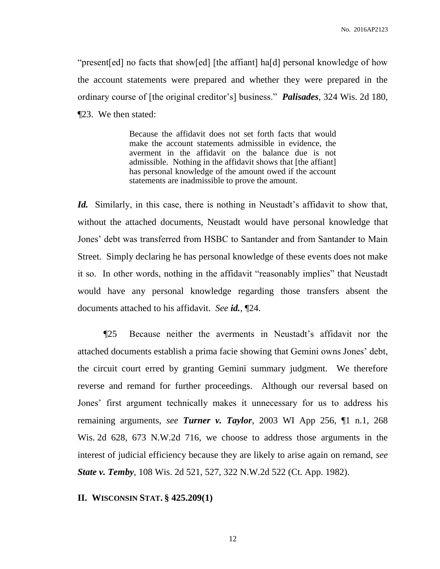"present[ed] no facts that show[ed] [the affiant] ha[d] personal knowledge of how the account statements were prepared and whether they were prepared in the ordinary course of [the original creditor's] business." *Palisades*, 324 Wis. 2d 180, ¶23. We then stated:

> Because the affidavit does not set forth facts that would make the account statements admissible in evidence, the averment in the affidavit on the balance due is not admissible. Nothing in the affidavit shows that [the affiant] has personal knowledge of the amount owed if the account statements are inadmissible to prove the amount.

*Id.* Similarly, in this case, there is nothing in Neustadt's affidavit to show that, without the attached documents, Neustadt would have personal knowledge that Jones' debt was transferred from HSBC to Santander and from Santander to Main Street. Simply declaring he has personal knowledge of these events does not make it so. In other words, nothing in the affidavit "reasonably implies" that Neustadt would have any personal knowledge regarding those transfers absent the documents attached to his affidavit. *See id.*, ¶24.

¶25 Because neither the averments in Neustadt's affidavit nor the attached documents establish a prima facie showing that Gemini owns Jones' debt, the circuit court erred by granting Gemini summary judgment. We therefore reverse and remand for further proceedings. Although our reversal based on Jones' first argument technically makes it unnecessary for us to address his remaining arguments, *see Turner v. Taylor*, 2003 WI App 256, ¶1 n.1, 268 Wis. 2d 628, 673 N.W.2d 716, we choose to address those arguments in the interest of judicial efficiency because they are likely to arise again on remand, *see State v. Temby*, 108 Wis. 2d 521, 527, 322 N.W.2d 522 (Ct. App. 1982).

**II. WISCONSIN STAT. § 425.209(1)**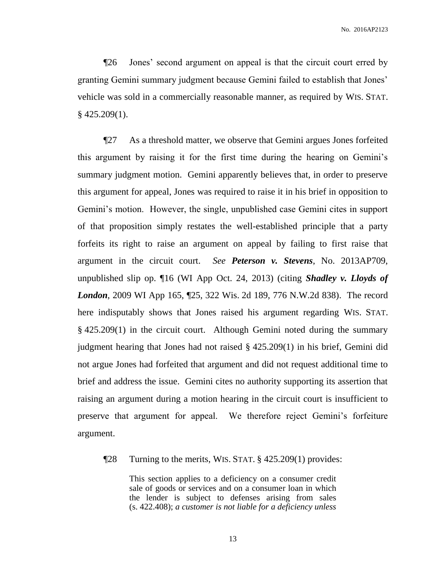¶26 Jones' second argument on appeal is that the circuit court erred by granting Gemini summary judgment because Gemini failed to establish that Jones' vehicle was sold in a commercially reasonable manner, as required by WIS. STAT. § 425.209(1).

¶27 As a threshold matter, we observe that Gemini argues Jones forfeited this argument by raising it for the first time during the hearing on Gemini's summary judgment motion. Gemini apparently believes that, in order to preserve this argument for appeal, Jones was required to raise it in his brief in opposition to Gemini's motion. However, the single, unpublished case Gemini cites in support of that proposition simply restates the well-established principle that a party forfeits its right to raise an argument on appeal by failing to first raise that argument in the circuit court. *See Peterson v. Stevens*, No. 2013AP709, unpublished slip op. ¶16 (WI App Oct. 24, 2013) (citing *Shadley v. Lloyds of London*, 2009 WI App 165, ¶25, 322 Wis. 2d 189, 776 N.W.2d 838). The record here indisputably shows that Jones raised his argument regarding WIS. STAT. § 425.209(1) in the circuit court. Although Gemini noted during the summary judgment hearing that Jones had not raised § 425.209(1) in his brief, Gemini did not argue Jones had forfeited that argument and did not request additional time to brief and address the issue. Gemini cites no authority supporting its assertion that raising an argument during a motion hearing in the circuit court is insufficient to preserve that argument for appeal. We therefore reject Gemini's forfeiture argument.

¶28 Turning to the merits, WIS. STAT. § 425.209(1) provides:

This section applies to a deficiency on a consumer credit sale of goods or services and on a consumer loan in which the lender is subject to defenses arising from sales (s. 422.408); *a customer is not liable for a deficiency unless*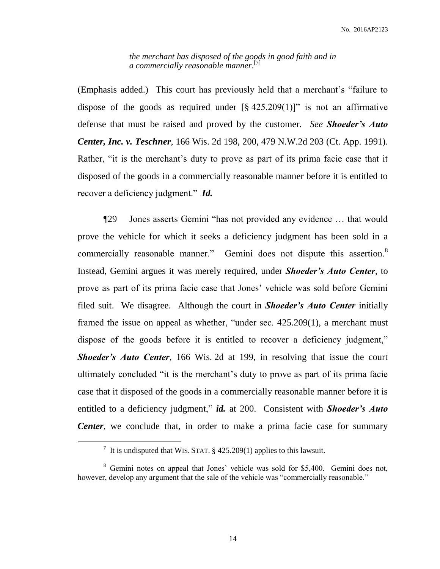*the merchant has disposed of the goods in good faith and in a commercially reasonable manner*. [7]

(Emphasis added.) This court has previously held that a merchant's "failure to dispose of the goods as required under  $\lbrack 8,425,209(1)\rbrack$ " is not an affirmative defense that must be raised and proved by the customer. *See Shoeder's Auto Center, Inc. v. Teschner*, 166 Wis. 2d 198, 200, 479 N.W.2d 203 (Ct. App. 1991). Rather, "it is the merchant's duty to prove as part of its prima facie case that it disposed of the goods in a commercially reasonable manner before it is entitled to recover a deficiency judgment." *Id.*

¶29 Jones asserts Gemini "has not provided any evidence … that would prove the vehicle for which it seeks a deficiency judgment has been sold in a commercially reasonable manner." Gemini does not dispute this assertion.<sup>8</sup> Instead, Gemini argues it was merely required, under *Shoeder's Auto Center*, to prove as part of its prima facie case that Jones' vehicle was sold before Gemini filed suit. We disagree. Although the court in *Shoeder's Auto Center* initially framed the issue on appeal as whether, "under sec. 425.209(1), a merchant must dispose of the goods before it is entitled to recover a deficiency judgment," *Shoeder's Auto Center*, 166 Wis. 2d at 199, in resolving that issue the court ultimately concluded "it is the merchant's duty to prove as part of its prima facie case that it disposed of the goods in a commercially reasonable manner before it is entitled to a deficiency judgment," *id.* at 200. Consistent with **Shoeder's Auto** *Center*, we conclude that, in order to make a prima facie case for summary

<sup>&</sup>lt;sup>7</sup> It is undisputed that WIS. STAT.  $\S$  425.209(1) applies to this lawsuit.

<sup>&</sup>lt;sup>8</sup> Gemini notes on appeal that Jones' vehicle was sold for \$5,400. Gemini does not, however, develop any argument that the sale of the vehicle was "commercially reasonable."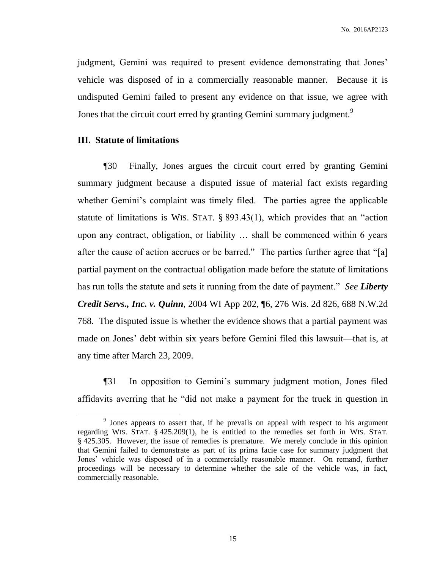judgment, Gemini was required to present evidence demonstrating that Jones' vehicle was disposed of in a commercially reasonable manner. Because it is undisputed Gemini failed to present any evidence on that issue, we agree with Jones that the circuit court erred by granting Gemini summary judgment.<sup>9</sup>

## **III. Statute of limitations**

 $\overline{a}$ 

¶30 Finally, Jones argues the circuit court erred by granting Gemini summary judgment because a disputed issue of material fact exists regarding whether Gemini's complaint was timely filed. The parties agree the applicable statute of limitations is WIS. STAT. § 893.43(1), which provides that an "action upon any contract, obligation, or liability … shall be commenced within 6 years after the cause of action accrues or be barred." The parties further agree that "[a] partial payment on the contractual obligation made before the statute of limitations has run tolls the statute and sets it running from the date of payment." *See Liberty Credit Servs., Inc. v. Quinn*, 2004 WI App 202, ¶6, 276 Wis. 2d 826, 688 N.W.2d 768. The disputed issue is whether the evidence shows that a partial payment was made on Jones' debt within six years before Gemini filed this lawsuit—that is, at any time after March 23, 2009.

¶31 In opposition to Gemini's summary judgment motion, Jones filed affidavits averring that he "did not make a payment for the truck in question in

<sup>&</sup>lt;sup>9</sup> Jones appears to assert that, if he prevails on appeal with respect to his argument regarding WIS. STAT. § 425.209(1), he is entitled to the remedies set forth in WIS. STAT. § 425.305. However, the issue of remedies is premature. We merely conclude in this opinion that Gemini failed to demonstrate as part of its prima facie case for summary judgment that Jones' vehicle was disposed of in a commercially reasonable manner. On remand, further proceedings will be necessary to determine whether the sale of the vehicle was, in fact, commercially reasonable.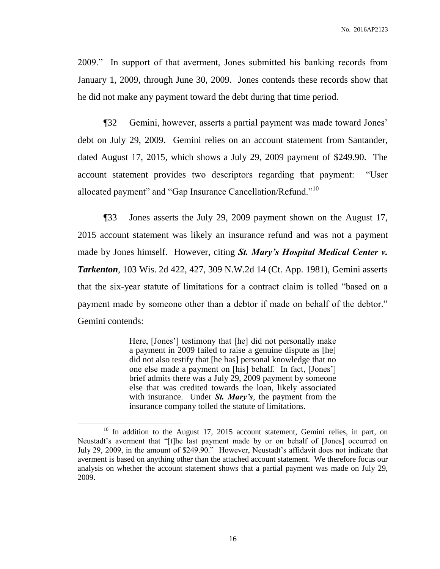2009." In support of that averment, Jones submitted his banking records from January 1, 2009, through June 30, 2009. Jones contends these records show that he did not make any payment toward the debt during that time period.

¶32 Gemini, however, asserts a partial payment was made toward Jones' debt on July 29, 2009. Gemini relies on an account statement from Santander, dated August 17, 2015, which shows a July 29, 2009 payment of \$249.90. The account statement provides two descriptors regarding that payment: "User allocated payment" and "Gap Insurance Cancellation/Refund."<sup>10</sup>

¶33 Jones asserts the July 29, 2009 payment shown on the August 17, 2015 account statement was likely an insurance refund and was not a payment made by Jones himself. However, citing *St. Mary's Hospital Medical Center v. Tarkenton*, 103 Wis. 2d 422, 427, 309 N.W.2d 14 (Ct. App. 1981), Gemini asserts that the six-year statute of limitations for a contract claim is tolled "based on a payment made by someone other than a debtor if made on behalf of the debtor." Gemini contends:

> Here, [Jones'] testimony that [he] did not personally make a payment in 2009 failed to raise a genuine dispute as [he] did not also testify that [he has] personal knowledge that no one else made a payment on [his] behalf. In fact, [Jones'] brief admits there was a July 29, 2009 payment by someone else that was credited towards the loan, likely associated with insurance. Under *St. Mary's*, the payment from the insurance company tolled the statute of limitations.

<sup>&</sup>lt;sup>10</sup> In addition to the August 17, 2015 account statement, Gemini relies, in part, on Neustadt's averment that "[t]he last payment made by or on behalf of [Jones] occurred on July 29, 2009, in the amount of \$249.90." However, Neustadt's affidavit does not indicate that averment is based on anything other than the attached account statement. We therefore focus our analysis on whether the account statement shows that a partial payment was made on July 29, 2009.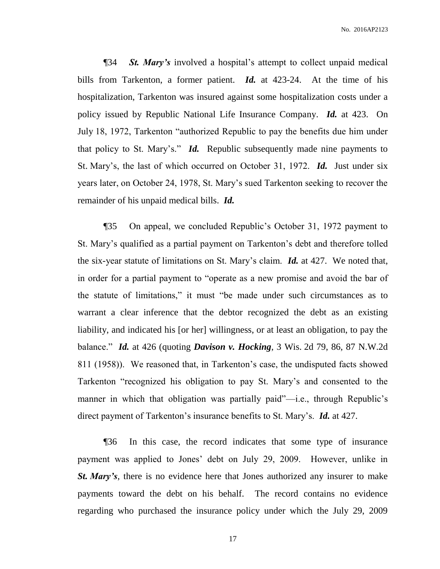¶34 *St. Mary's* involved a hospital's attempt to collect unpaid medical bills from Tarkenton, a former patient. *Id.* at 423-24. At the time of his hospitalization, Tarkenton was insured against some hospitalization costs under a policy issued by Republic National Life Insurance Company. *Id.* at 423. On July 18, 1972, Tarkenton "authorized Republic to pay the benefits due him under that policy to St. Mary's." *Id.* Republic subsequently made nine payments to St. Mary's, the last of which occurred on October 31, 1972. *Id.* Just under six years later, on October 24, 1978, St. Mary's sued Tarkenton seeking to recover the remainder of his unpaid medical bills. *Id.*

¶35 On appeal, we concluded Republic's October 31, 1972 payment to St. Mary's qualified as a partial payment on Tarkenton's debt and therefore tolled the six-year statute of limitations on St. Mary's claim. *Id.* at 427. We noted that, in order for a partial payment to "operate as a new promise and avoid the bar of the statute of limitations," it must "be made under such circumstances as to warrant a clear inference that the debtor recognized the debt as an existing liability, and indicated his [or her] willingness, or at least an obligation, to pay the balance." *Id.* at 426 (quoting *Davison v. Hocking*, 3 Wis. 2d 79, 86, 87 N.W.2d 811 (1958)). We reasoned that, in Tarkenton's case, the undisputed facts showed Tarkenton "recognized his obligation to pay St. Mary's and consented to the manner in which that obligation was partially paid"—i.e., through Republic's direct payment of Tarkenton's insurance benefits to St. Mary's. *Id.* at 427.

¶36 In this case, the record indicates that some type of insurance payment was applied to Jones' debt on July 29, 2009. However, unlike in *St. Mary's*, there is no evidence here that Jones authorized any insurer to make payments toward the debt on his behalf. The record contains no evidence regarding who purchased the insurance policy under which the July 29, 2009